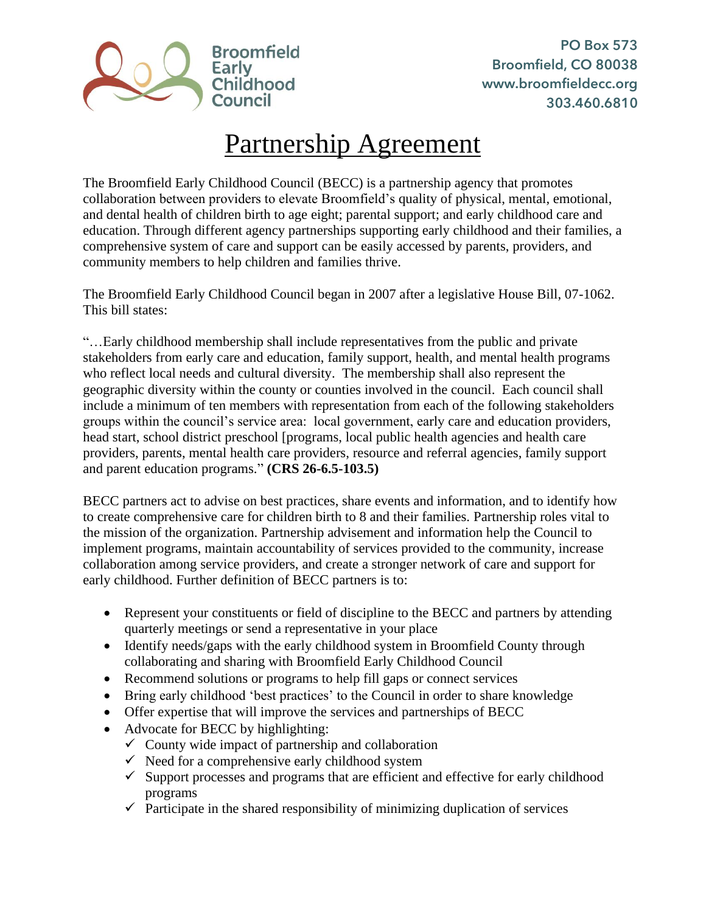

## Partnership Agreement

The Broomfield Early Childhood Council (BECC) is a partnership agency that promotes collaboration between providers to elevate Broomfield's quality of physical, mental, emotional, and dental health of children birth to age eight; parental support; and early childhood care and education. Through different agency partnerships supporting early childhood and their families, a comprehensive system of care and support can be easily accessed by parents, providers, and community members to help children and families thrive.

The Broomfield Early Childhood Council began in 2007 after a legislative House Bill, 07-1062. This bill states:

"…Early childhood membership shall include representatives from the public and private stakeholders from early care and education, family support, health, and mental health programs who reflect local needs and cultural diversity. The membership shall also represent the geographic diversity within the county or counties involved in the council. Each council shall include a minimum of ten members with representation from each of the following stakeholders groups within the council's service area: local government, early care and education providers, head start, school district preschool [programs, local public health agencies and health care providers, parents, mental health care providers, resource and referral agencies, family support and parent education programs." **(CRS 26-6.5-103.5)** 

BECC partners act to advise on best practices, share events and information, and to identify how to create comprehensive care for children birth to 8 and their families. Partnership roles vital to the mission of the organization. Partnership advisement and information help the Council to implement programs, maintain accountability of services provided to the community, increase collaboration among service providers, and create a stronger network of care and support for early childhood. Further definition of BECC partners is to:

- Represent your constituents or field of discipline to the BECC and partners by attending quarterly meetings or send a representative in your place
- Identify needs/gaps with the early childhood system in Broomfield County through collaborating and sharing with Broomfield Early Childhood Council
- Recommend solutions or programs to help fill gaps or connect services
- Bring early childhood 'best practices' to the Council in order to share knowledge
- Offer expertise that will improve the services and partnerships of BECC
- Advocate for BECC by highlighting:
	- $\checkmark$  County wide impact of partnership and collaboration
	- $\checkmark$  Need for a comprehensive early childhood system
	- $\checkmark$  Support processes and programs that are efficient and effective for early childhood programs
	- $\checkmark$  Participate in the shared responsibility of minimizing duplication of services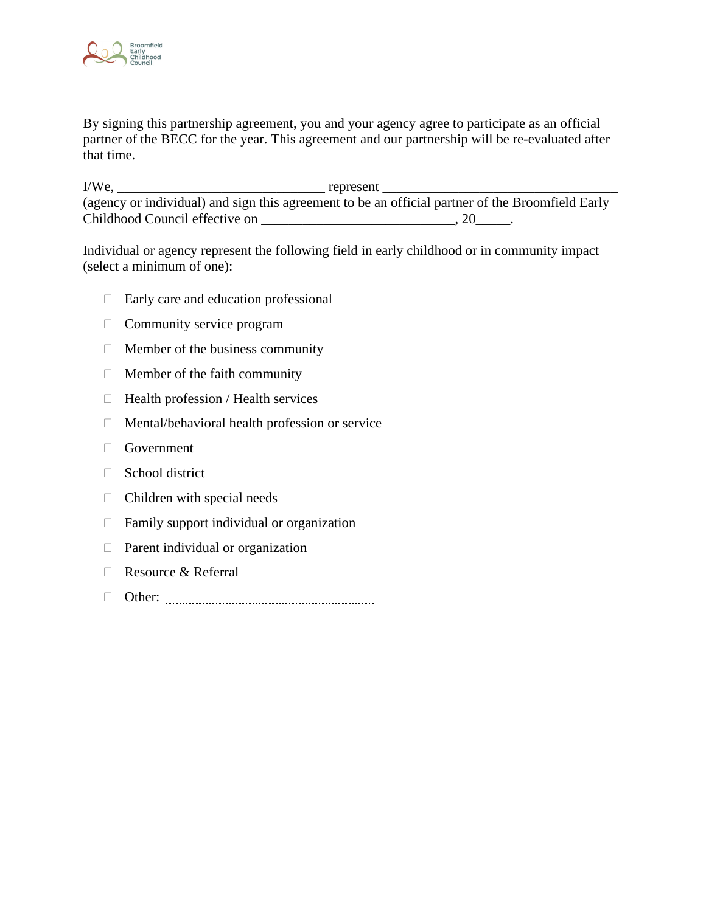

By signing this partnership agreement, you and your agency agree to participate as an official partner of the BECC for the year. This agreement and our partnership will be re-evaluated after that time.

I/We, \_\_\_\_\_\_\_\_\_\_\_\_\_\_\_\_\_\_\_\_\_\_\_\_\_\_\_\_\_\_ represent \_\_\_\_\_\_\_\_\_\_\_\_\_\_\_\_\_\_\_\_\_\_\_\_\_\_\_\_\_\_\_\_\_\_ (agency or individual) and sign this agreement to be an official partner of the Broomfield Early Childhood Council effective on \_\_\_\_\_\_\_\_\_\_\_\_\_\_\_\_\_\_\_\_\_\_\_\_\_\_\_\_\_\_, 20\_\_\_\_\_\_.

Individual or agency represent the following field in early childhood or in community impact (select a minimum of one):

- $\Box$  Early care and education professional
- $\Box$  Community service program
- $\Box$  Member of the business community
- $\Box$  Member of the faith community
- $\Box$  Health profession / Health services
- $\Box$  Mental/behavioral health profession or service
- Government
- □ School district
- $\Box$  Children with special needs
- $\Box$  Family support individual or organization
- $\Box$  Parent individual or organization
- Resource & Referral
- Other: